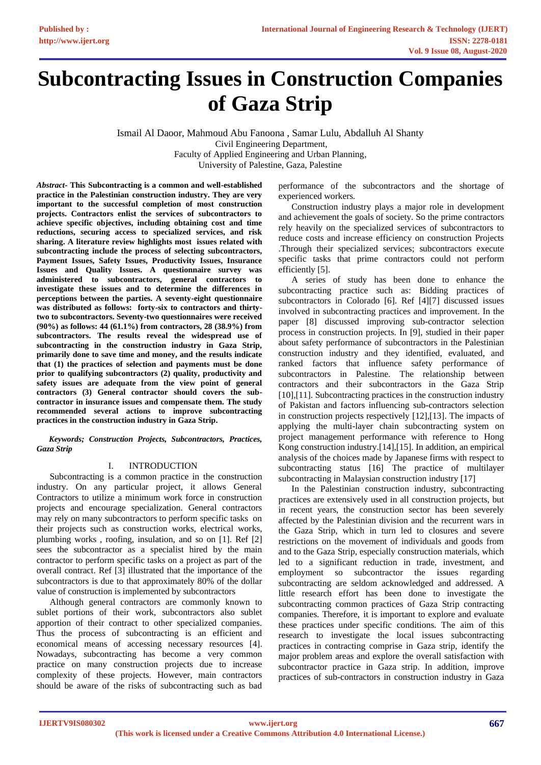# **Subcontracting Issues in Construction Companies of Gaza Strip**

Ismail Al Daoor, Mahmoud Abu Fanoona , Samar Lulu, Abdalluh Al Shanty Civil Engineering Department, Faculty of Applied Engineering and Urban Planning, University of Palestine, Gaza, Palestine

*Abstract-* **This Subcontracting is a common and well-established practice in the Palestinian construction industry. They are very important to the successful completion of most construction projects. Contractors enlist the services of subcontractors to achieve specific objectives, including obtaining cost and time reductions, securing access to specialized services, and risk sharing. A literature review highlights most issues related with subcontracting include the process of selecting subcontractors, Payment Issues, Safety Issues, Productivity Issues, Insurance Issues and Quality Issues. A questionnaire survey was administered to subcontractors, general contractors to investigate these issues and to determine the differences in perceptions between the parties. A seventy-eight questionnaire was distributed as follows: forty-six to contractors and thirtytwo to subcontractors. Seventy-two questionnaires were received (90%) as follows: 44 (61.1%) from contractors, 28 (38.9%) from subcontractors. The results reveal the widespread use of subcontracting in the construction industry in Gaza Strip, primarily done to save time and money, and the results indicate that (1) the practices of selection and payments must be done prior to qualifying subcontractors (2) quality, productivity and safety issues are adequate from the view point of general contractors (3) General contractor should covers the subcontractor in insurance issues and compensate them. The study recommended several actions to improve subcontracting practices in the construction industry in Gaza Strip.** 

## *Keywords; Construction Projects, Subcontractors, Practices, Gaza Strip*

# I. INTRODUCTION

Subcontracting is a common practice in the construction industry. On any particular project, it allows General Contractors to utilize a minimum work force in construction projects and encourage specialization. General contractors may rely on many subcontractors to perform specific tasks on their projects such as construction works, electrical works, plumbing works , roofing, insulation, and so on [1]. Ref [2] sees the subcontractor as a specialist hired by the main contractor to perform specific tasks on a project as part of the overall contract. Ref [3] illustrated that the importance of the subcontractors is due to that approximately 80% of the dollar value of construction is implemented by subcontractors

Although general contractors are commonly known to sublet portions of their work, subcontractors also sublet apportion of their contract to other specialized companies. Thus the process of subcontracting is an efficient and economical means of accessing necessary resources [4]. Nowadays, subcontracting has become a very common practice on many construction projects due to increase complexity of these projects. However, main contractors should be aware of the risks of subcontracting such as bad performance of the subcontractors and the shortage of experienced workers.

Construction industry plays a major role in development and achievement the goals of society. So the prime contractors rely heavily on the specialized services of subcontractors to reduce costs and increase efficiency on construction Projects .Through their specialized services; subcontractors execute specific tasks that prime contractors could not perform efficiently [5].

A series of study has been done to enhance the subcontracting practice such as: Bidding practices of subcontractors in Colorado [6]. Ref [4][7] discussed issues involved in subcontracting practices and improvement. In the paper [8] discussed improving sub-contractor selection process in construction projects. In [9], studied in their paper about safety performance of subcontractors in the Palestinian construction industry and they identified, evaluated, and ranked factors that influence safety performance of subcontractors in Palestine. The relationship between contractors and their subcontractors in the Gaza Strip [10],[11]. Subcontracting practices in the construction industry of Pakistan and factors influencing sub-contractors selection in construction projects respectively [12],[13]. The impacts of applying the multi-layer chain subcontracting system on project management performance with reference to Hong Kong construction industry.[14],[15]. In addition, an empirical analysis of the choices made by Japanese firms with respect to subcontracting status [16] The practice of multilayer subcontracting in Malaysian construction industry [17]

In the Palestinian construction industry, subcontracting practices are extensively used in all construction projects, but in recent years, the construction sector has been severely affected by the Palestinian division and the recurrent wars in the Gaza Strip, which in turn led to closures and severe restrictions on the movement of individuals and goods from and to the Gaza Strip, especially construction materials, which led to a significant reduction in trade, investment, and employment so subcontractor the issues regarding subcontracting are seldom acknowledged and addressed. A little research effort has been done to investigate the subcontracting common practices of Gaza Strip contracting companies. Therefore, it is important to explore and evaluate these practices under specific conditions. The aim of this research to investigate the local issues subcontracting practices in contracting comprise in Gaza strip, identify the major problem areas and explore the overall satisfaction with subcontractor practice in Gaza strip. In addition, improve practices of sub-contractors in construction industry in Gaza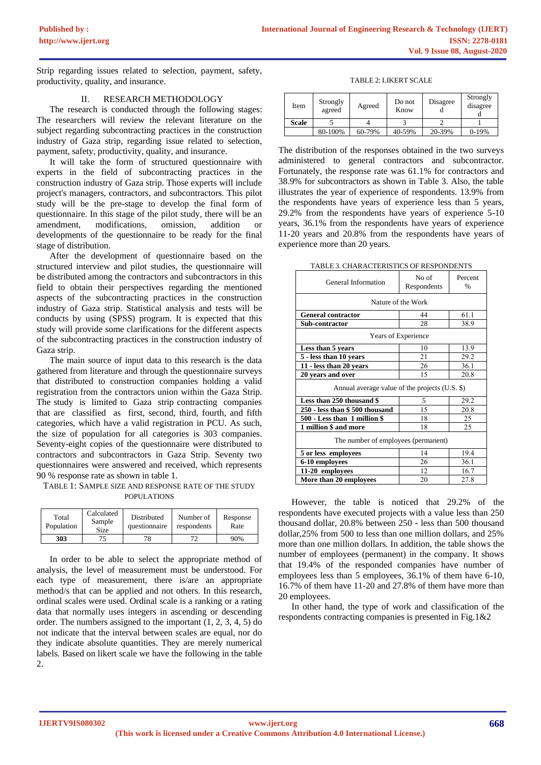Strip regarding issues related to selection, payment, safety, productivity, quality, and insurance.

# II. RESEARCH METHODOLOGY

The research is conducted through the following stages: The researchers will review the relevant literature on the subject regarding subcontracting practices in the construction industry of Gaza strip, regarding issue related to selection, payment, safety, productivity, quality, and insurance.

It will take the form of structured questionnaire with experts in the field of subcontracting practices in the construction industry of Gaza strip. Those experts will include project's managers, contractors, and subcontractors. This pilot study will be the pre-stage to develop the final form of questionnaire. In this stage of the pilot study, there will be an amendment, modifications, omission, addition or developments of the questionnaire to be ready for the final stage of distribution.

After the development of questionnaire based on the structured interview and pilot studies, the questionnaire will be distributed among the contractors and subcontractors in this field to obtain their perspectives regarding the mentioned aspects of the subcontracting practices in the construction industry of Gaza strip. Statistical analysis and tests will be conducts by using (SPSS) program. It is expected that this study will provide some clarifications for the different aspects of the subcontracting practices in the construction industry of Gaza strip.

The main source of input data to this research is the data gathered from literature and through the questionnaire surveys that distributed to construction companies holding a valid registration from the contractors union within the Gaza Strip. The study is limited to Gaza strip contracting companies that are classified as first, second, third, fourth, and fifth categories, which have a valid registration in PCU. As such, the size of population for all categories is 303 companies. Seventy-eight copies of the questionnaire were distributed to contractors and subcontractors in Gaza Strip. Seventy two questionnaires were answered and received, which represents 90 % response rate as shown in table 1.

# TABLE 1: SAMPLE SIZE AND RESPONSE RATE OF THE STUDY POPULATIONS

| Total<br>Population | Calculated<br>Sample<br>Size | Distributed<br>questionnaire | Number of<br>respondents | Response<br>Rate |
|---------------------|------------------------------|------------------------------|--------------------------|------------------|
| 303                 |                              |                              |                          | 90%              |

In order to be able to select the appropriate method of analysis, the level of measurement must be understood. For each type of measurement, there is/are an appropriate method/s that can be applied and not others. In this research, ordinal scales were used. Ordinal scale is a ranking or a rating data that normally uses integers in ascending or descending order. The numbers assigned to the important (1, 2, 3, 4, 5) do not indicate that the interval between scales are equal, nor do they indicate absolute quantities. They are merely numerical labels. Based on likert scale we have the following in the table  $\mathcal{D}$ 

TABLE 2: LIKERT SCALE

| Item  | Strongly<br>agreed | Agreed | Do not<br>Know | Disagree | Strongly<br>disagree |
|-------|--------------------|--------|----------------|----------|----------------------|
| Scale |                    |        |                |          |                      |
|       | 80-100%            | 60-79% | 40-59%         | 20-39%   | $0-19%$              |

The distribution of the responses obtained in the two surveys administered to general contractors and subcontractor. Fortunately, the response rate was 61.1% for contractors and 38.9% for subcontractors as shown in Table 3. Also, the table illustrates the year of experience of respondents. 13.9% from the respondents have years of experience less than 5 years, 29.2% from the respondents have years of experience 5-10 years, 36.1% from the respondents have years of experience 11-20 years and 20.8% from the respondents have years of experience more than 20 years.

|--|

| General Information                            | No of<br>Respondents | Percent<br>$\frac{0}{0}$ |  |  |
|------------------------------------------------|----------------------|--------------------------|--|--|
|                                                | Nature of the Work   |                          |  |  |
| <b>General contractor</b>                      | 44                   | 61.1                     |  |  |
| Sub-contractor                                 | 28                   | 38.9                     |  |  |
| Years of Experience                            |                      |                          |  |  |
| Less than 5 years                              | 10                   | 13.9                     |  |  |
| 5 - less than 10 years                         | 21                   | 29.2                     |  |  |
| 11 - less than 20 years                        | 26                   | 36.1                     |  |  |
| 20 years and over                              | 15                   | 20.8                     |  |  |
| Annual average value of the projects (U.S. \$) |                      |                          |  |  |
| Less than 250 thousand \$                      | 5                    | 29.2                     |  |  |
| 250 - less than \$500 thousand                 | 15                   | 20.8                     |  |  |
| 500 - Less than 1 million \$                   | 18                   | 25                       |  |  |
| 1 million \$ and more                          | 18                   | 25                       |  |  |
| The number of employees (permanent)            |                      |                          |  |  |
| 5 or less employees                            | 14                   | 19.4                     |  |  |
| 6-10 employees                                 | 26                   | 36.1                     |  |  |
| 11-20 employees                                | 12                   | 16.7                     |  |  |
| More than 20 employees                         | 20                   | 27.8                     |  |  |

However, the table is noticed that 29.2% of the respondents have executed projects with a value less than 250 thousand dollar, 20.8% between 250 - less than 500 thousand dollar,25% from 500 to less than one million dollars, and 25% more than one million dollars. In addition, the table shows the number of employees (permanent) in the company. It shows that 19.4% of the responded companies have number of employees less than 5 employees, 36.1% of them have 6-10, 16.7% of them have 11-20 and 27.8% of them have more than 20 employees.

In other hand, the type of work and classification of the respondents contracting companies is presented in Fig.1&2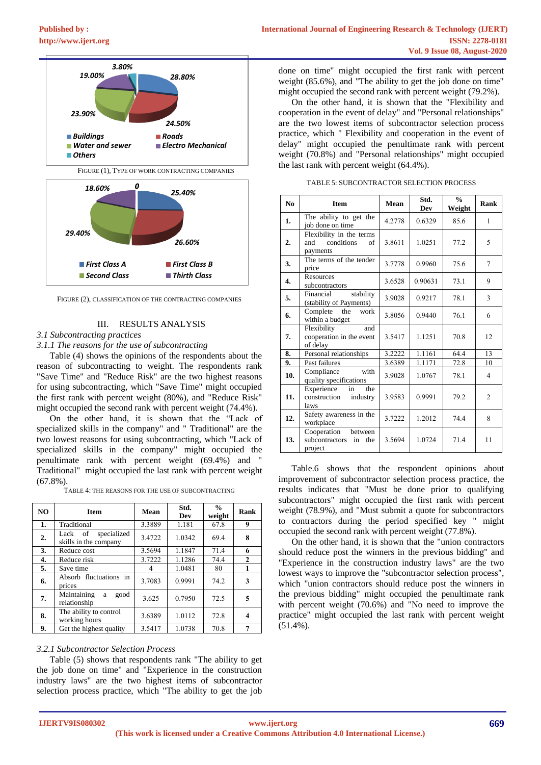

FIGURE (2), CLASSIFICATION OF THE CONTRACTING COMPANIES

# III. RESULTS ANALYSIS

# *3.1 Subcontracting practices*

# *3.1.1 The reasons for the use of subcontracting*

Table (4) shows the opinions of the respondents about the reason of subcontracting to weight. The respondents rank "Save Time" and "Reduce Risk" are the two highest reasons for using subcontracting, which "Save Time" might occupied the first rank with percent weight (80%), and "Reduce Risk" might occupied the second rank with percent weight (74.4%).

On the other hand, it is shown that the "Lack of specialized skills in the company" and " Traditional" are the two lowest reasons for using subcontracting, which "Lack of specialized skills in the company" might occupied the penultimate rank with percent weight (69.4%) and " Traditional" might occupied the last rank with percent weight  $(67.8\%)$ .

TABLE 4: THE REASONS FOR THE USE OF SUBCONTRACTING

| N <sub>O</sub> | <b>Item</b>                                     | Mean   | Std.<br>Dev | $\frac{0}{0}$<br>weight | Rank         |
|----------------|-------------------------------------------------|--------|-------------|-------------------------|--------------|
| 1.             | Traditional                                     | 3.3889 | 1.181       | 67.8                    | 9            |
| 2.             | specialized<br>Lack of<br>skills in the company | 3.4722 | 1.0342      | 69.4                    | 8            |
| 3.             | Reduce cost                                     | 3.5694 | 1.1847      | 71.4                    | 6            |
| 4.             | Reduce risk                                     | 3.7222 | 1.1286      | 74.4                    | $\mathbf{2}$ |
| 5.             | Save time                                       |        | 1.0481      | 80                      | 1            |
| 6.             | Absorb fluctuations in<br>prices                | 3.7083 | 0.9991      | 74.2                    | 3            |
| 7.             | Maintaining<br>good<br>a<br>relationship        | 3.625  | 0.7950      | 72.5                    | 5            |
| 8.             | The ability to control<br>working hours         | 3.6389 | 1.0112      | 72.8                    | 4            |
| 9.             | Get the highest quality                         | 3.5417 | 1.0738      | 70.8                    | 7            |

#### *3.2.1 Subcontractor Selection Process*

Table (5) shows that respondents rank "The ability to get the job done on time" and "Experience in the construction industry laws" are the two highest items of subcontractor selection process practice, which "The ability to get the job done on time" might occupied the first rank with percent weight (85.6%), and "The ability to get the job done on time" might occupied the second rank with percent weight (79.2%).

On the other hand, it is shown that the "Flexibility and cooperation in the event of delay" and "Personal relationships" are the two lowest items of subcontractor selection process practice, which " Flexibility and cooperation in the event of delay" might occupied the penultimate rank with percent weight (70.8%) and "Personal relationships" might occupied the last rank with percent weight (64.4%).

| N <sub>0</sub>   | <b>Item</b>                                                      | Mean   | Std.<br>Dev | $\frac{0}{0}$<br>Weight | Rank           |
|------------------|------------------------------------------------------------------|--------|-------------|-------------------------|----------------|
| 1.               | The ability to get the<br>job done on time                       | 4.2778 | 0.6329      | 85.6                    | 1              |
| $\overline{2}$ . | Flexibility in the terms<br>conditions<br>and<br>of<br>payments  | 3.8611 | 1.0251      | 77.2                    | 5              |
| 3.               | The terms of the tender<br>price                                 | 3.7778 | 0.9960      | 75.6                    | $\overline{7}$ |
| $\overline{4}$ . | <b>Resources</b><br>subcontractors                               | 3.6528 | 0.90631     | 73.1                    | 9              |
| 5.               | Financial<br>stability<br>(stability of Payments)                | 3.9028 | 0.9217      | 78.1                    | 3              |
| 6.               | Complete the<br>work<br>within a budget                          | 3.8056 | 0.9440      | 76.1                    | 6              |
| 7.               | Flexibility<br>and<br>cooperation in the event<br>of delay       | 3.5417 | 1.1251      | 70.8                    | 12             |
| 8.               | Personal relationships                                           | 3.2222 | 1.1161      | 64.4                    | 13             |
| 9.               | Past failures                                                    | 3.6389 | 1.1171      | 72.8                    | 10             |
| 10.              | with<br>Compliance<br>quality specifications                     | 3.9028 | 1.0767      | 78.1                    | 4              |
| 11.              | in<br>the<br>Experience<br>construction<br>industry<br>laws      | 3.9583 | 0.9991      | 79.2                    | $\overline{2}$ |
| 12.              | Safety awareness in the<br>workplace                             | 3.7222 | 1.2012      | 74.4                    | 8              |
| 13.              | Cooperation<br>between<br>subcontractors<br>in<br>the<br>project | 3.5694 | 1.0724      | 71.4                    | 11             |

TABLE 5: SUBCONTRACTOR SELECTION PROCESS

Table.6 shows that the respondent opinions about improvement of subcontractor selection process practice, the results indicates that "Must be done prior to qualifying subcontractors" might occupied the first rank with percent weight (78.9%), and "Must submit a quote for subcontractors to contractors during the period specified key " might occupied the second rank with percent weight (77.8%).

On the other hand, it is shown that the "union contractors should reduce post the winners in the previous bidding" and "Experience in the construction industry laws" are the two lowest ways to improve the "subcontractor selection process", which "union contractors should reduce post the winners in the previous bidding" might occupied the penultimate rank with percent weight (70.6%) and "No need to improve the practice" might occupied the last rank with percent weight (51.4%).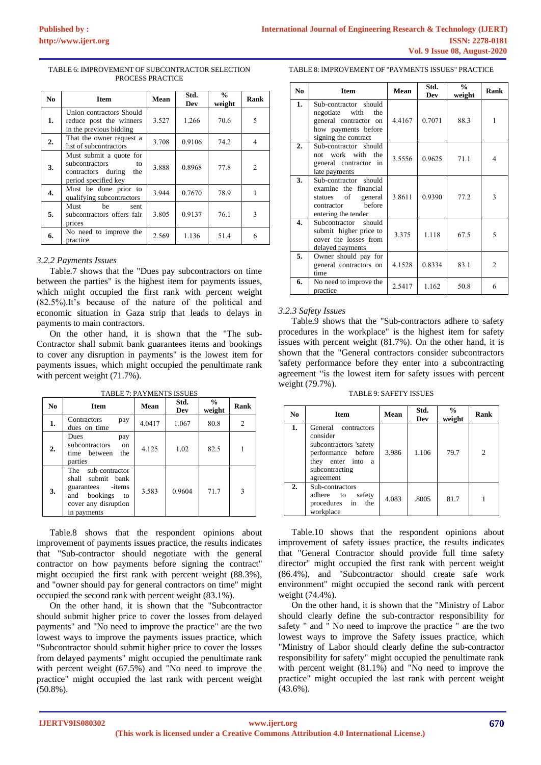| N <sub>0</sub> | <b>Item</b>                                                                                          | Mean  | Std.<br>Dev | $\frac{6}{9}$<br>weight | Rank          |
|----------------|------------------------------------------------------------------------------------------------------|-------|-------------|-------------------------|---------------|
| 1.             | Union contractors Should<br>reduce post the winners<br>in the previous bidding                       | 3.527 | 1.266       | 70.6                    | 5             |
| 2.             | That the owner request a<br>list of subcontractors                                                   | 3.708 | 0.9106      | 74.2                    | 4             |
| 3.             | Must submit a quote for<br>subcontractors<br>to<br>contractors during<br>the<br>period specified key | 3.888 | 0.8968      | 77.8                    | $\mathcal{L}$ |
| 4.             | Must be done prior to<br>qualifying subcontractors                                                   | 3.944 | 0.7670      | 78.9                    |               |
| 5.             | Must<br>be<br>sent<br>subcontractors offers fair<br>prices                                           | 3.805 | 0.9137      | 76.1                    | 3             |
| 6.             | No need to improve the<br>practice                                                                   | 2.569 | 1.136       | 51.4                    | 6             |

#### TABLE 6: IMPROVEMENT OF SUBCONTRACTOR SELECTION PROCESS PRACTICE

## *3.2.2 Payments Issues*

Table.7 shows that the "Dues pay subcontractors on time between the parties" is the highest item for payments issues, which might occupied the first rank with percent weight (82.5%).It's because of the nature of the political and economic situation in Gaza strip that leads to delays in payments to main contractors.

On the other hand, it is shown that the "The sub-Contractor shall submit bank guarantees items and bookings to cover any disruption in payments" is the lowest item for payments issues, which might occupied the penultimate rank with percent weight  $(71.7\%)$ .

| N <sub>0</sub> | <b>Item</b>                                                                                                                | Mean   | Std.<br>Dev | $\frac{0}{0}$<br>weight | Rank |
|----------------|----------------------------------------------------------------------------------------------------------------------------|--------|-------------|-------------------------|------|
| 1.             | Contractors<br>pay<br>dues on time                                                                                         | 4.0417 | 1.067       | 80.8                    | 2    |
| 2.             | Dues<br>pay<br>subcontractors<br>on<br>time between<br>the<br>parties                                                      | 4.125  | 1.02        | 82.5                    |      |
| 3.             | The sub-contractor<br>shall submit bank<br>guarantees - items<br>and bookings<br>to<br>cover any disruption<br>in payments | 3.583  | 0.9604      | 71.7                    | 3    |

TABLE 7: PAYMENTS ISSUES

Table.8 shows that the respondent opinions about improvement of payments issues practice, the results indicates that "Sub-contractor should negotiate with the general contractor on how payments before signing the contract" might occupied the first rank with percent weight (88.3%), and "owner should pay for general contractors on time" might occupied the second rank with percent weight (83.1%).

On the other hand, it is shown that the "Subcontractor should submit higher price to cover the losses from delayed payments" and "No need to improve the practice" are the two lowest ways to improve the payments issues practice, which "Subcontractor should submit higher price to cover the losses from delayed payments" might occupied the penultimate rank with percent weight (67.5%) and "No need to improve the practice" might occupied the last rank with percent weight (50.8%).

#### TABLE 8: IMPROVEMENT OF "PAYMENTS ISSUES" PRACTICE

| N <sub>0</sub> | <b>Item</b>                                                                                                            | Mean   | Std.<br>Dev | $\frac{0}{0}$<br>weight | Rank           |
|----------------|------------------------------------------------------------------------------------------------------------------------|--------|-------------|-------------------------|----------------|
| 1.             | Sub-contractor should<br>the<br>negotiate with<br>general contractor on<br>how payments before<br>signing the contract | 4.4167 | 0.7071      | 88.3                    | 1              |
| 2.             | Sub-contractor should<br>work with<br>the<br>not.<br>general contractor in<br>late payments                            | 3.5556 | 0.9625      | 71.1                    | 4              |
| 3.             | Sub-contractor should<br>examine the financial<br>statues of<br>general<br>hefore<br>contractor<br>entering the tender | 3.8611 | 0.9390      | 77.2                    | 3              |
| 4.             | Subcontractor should<br>submit higher price to<br>cover the losses from<br>delayed payments                            | 3.375  | 1.118       | 67.5                    | 5              |
| 5.             | Owner should pay for<br>general contractors on<br>time                                                                 | 4.1528 | 0.8334      | 83.1                    | $\overline{2}$ |
| 6.             | No need to improve the<br>practice                                                                                     | 2.5417 | 1.162       | 50.8                    | 6              |

# *3.2.3 Safety Issues*

Table.9 shows that the "Sub-contractors adhere to safety procedures in the workplace" is the highest item for safety issues with percent weight (81.7%). On the other hand, it is shown that the "General contractors consider subcontractors 'safety performance before they enter into a subcontracting agreement "is the lowest item for safety issues with percent weight (79.7%).

TABLE 9: SAFETY ISSUES

| No | <b>Item</b>                                                                                                                         | Mean  | Std.<br>Dev | $\frac{6}{9}$<br>weight | Rank           |
|----|-------------------------------------------------------------------------------------------------------------------------------------|-------|-------------|-------------------------|----------------|
| 1. | General contractors<br>consider<br>subcontractors 'safety<br>performance before<br>they enter into a<br>subcontracting<br>agreement | 3.986 | 1.106       | 79.7                    | $\overline{c}$ |
| 2. | Sub-contractors<br>safety<br>adhere to<br>procedures in the<br>workplace                                                            | 4.083 | .8005       | 81.7                    |                |

Table.10 shows that the respondent opinions about improvement of safety issues practice, the results indicates that "General Contractor should provide full time safety director" might occupied the first rank with percent weight (86.4%), and "Subcontractor should create safe work environment" might occupied the second rank with percent weight (74.4%).

On the other hand, it is shown that the "Ministry of Labor should clearly define the sub-contractor responsibility for safety " and " No need to improve the practice " are the two lowest ways to improve the Safety issues practice, which "Ministry of Labor should clearly define the sub-contractor responsibility for safety" might occupied the penultimate rank with percent weight (81.1%) and "No need to improve the practice" might occupied the last rank with percent weight (43.6%).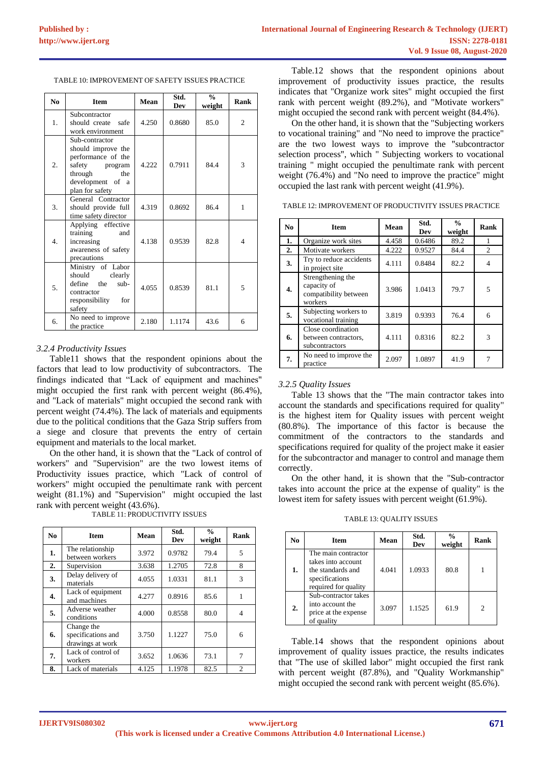| N <sub>0</sub> | <b>Item</b>                                                                                                                              | Mean  | Std.<br>Dev | $\frac{0}{0}$<br>weight | Rank           |
|----------------|------------------------------------------------------------------------------------------------------------------------------------------|-------|-------------|-------------------------|----------------|
| 1.             | Subcontractor<br>should create<br>safe<br>work environment                                                                               | 4.250 | 0.8680      | 85.0                    | $\overline{c}$ |
| 2.             | Sub-contractor<br>should improve the<br>performance of the<br>safety<br>program<br>through<br>the<br>development of a<br>plan for safety | 4.222 | 0.7911      | 84.4                    | $\mathcal{F}$  |
| 3.             | General Contractor<br>should provide full<br>time safety director                                                                        | 4.319 | 0.8692      | 86.4                    | 1              |
| 4.             | Applying effective<br>training<br>and<br>increasing<br>awareness of safety<br>precautions                                                | 4.138 | 0.9539      | 82.8                    | $\overline{4}$ |
| 5.             | Ministry of Labor<br>should<br>clearly<br>define<br>the<br>$sub-$<br>contractor<br>responsibility for<br>safety                          | 4.055 | 0.8539      | 81.1                    | 5              |
| б.             | No need to improve<br>the practice                                                                                                       | 2.180 | 1.1174      | 43.6                    | 6              |

#### *3.2.4 Productivity Issues*

Table11 shows that the respondent opinions about the factors that lead to low productivity of subcontractors. The findings indicated that "Lack of equipment and machines" might occupied the first rank with percent weight (86.4%), and "Lack of materials" might occupied the second rank with percent weight (74.4%). The lack of materials and equipments due to the political conditions that the Gaza Strip suffers from a siege and closure that prevents the entry of certain equipment and materials to the local market.

On the other hand, it is shown that the "Lack of control of workers" and "Supervision" are the two lowest items of Productivity issues practice, which "Lack of control of workers" might occupied the penultimate rank with percent weight (81.1%) and "Supervision" might occupied the last rank with percent weight (43.6%).

| N <sub>0</sub> | Item                                                 | Mean  | Std.<br>Dev | $\frac{0}{0}$<br>weight | Rank |
|----------------|------------------------------------------------------|-------|-------------|-------------------------|------|
| 1.             | The relationship<br>between workers                  | 3.972 | 0.9782      | 79.4                    | 5    |
| 2.             | Supervision                                          | 3.638 | 1.2705      | 72.8                    | 8    |
| 3.             | Delay delivery of<br>materials                       | 4.055 | 1.0331      | 81.1                    | 3    |
| 4.             | Lack of equipment<br>and machines                    | 4.277 | 0.8916      | 85.6                    |      |
| 5.             | Adverse weather<br>conditions                        | 4.000 | 0.8558      | 80.0                    | 4    |
| 6.             | Change the<br>specifications and<br>drawings at work | 3.750 | 1.1227      | 75.0                    | 6    |
| 7.             | Lack of control of<br>workers                        | 3.652 | 1.0636      | 73.1                    | 7    |
| 8.             | Lack of materials                                    | 4.125 | 1.1978      | 82.5                    | 2    |

TABLE 11: PRODUCTIVITY ISSUES

Table.12 shows that the respondent opinions about improvement of productivity issues practice, the results indicates that "Organize work sites" might occupied the first rank with percent weight (89.2%), and "Motivate workers" might occupied the second rank with percent weight (84.4%).

On the other hand, it is shown that the "Subjecting workers to vocational training" and "No need to improve the practice" are the two lowest ways to improve the "subcontractor selection process", which " Subjecting workers to vocational training " might occupied the penultimate rank with percent weight (76.4%) and "No need to improve the practice" might occupied the last rank with percent weight (41.9%).

TABLE 12: IMPROVEMENT OF PRODUCTIVITY ISSUES PRACTICE

| N <sub>0</sub> | <b>Item</b>                                                          | Mean  | Std.<br>Dev | $\frac{0}{0}$<br>weight | Rank |
|----------------|----------------------------------------------------------------------|-------|-------------|-------------------------|------|
| 1.             | Organize work sites                                                  | 4.458 | 0.6486      | 89.2                    |      |
| 2.             | Motivate workers                                                     | 4.222 | 0.9527      | 84.4                    | 2    |
| 3.             | Try to reduce accidents<br>in project site                           | 4.111 | 0.8484      | 82.2                    | 4    |
| 4.             | Strengthening the<br>capacity of<br>compatibility between<br>workers | 3.986 | 1.0413      | 79.7                    | 5    |
| 5.             | Subjecting workers to<br>vocational training                         | 3.819 | 0.9393      | 76.4                    | 6    |
| 6.             | Close coordination<br>between contractors.<br>subcontractors         | 4.111 | 0.8316      | 82.2                    | 3    |
| 7.             | No need to improve the<br>practice                                   | 2.097 | 1.0897      | 41.9                    |      |

# *3.2.5 Quality Issues*

Table 13 shows that the "The main contractor takes into account the standards and specifications required for quality" is the highest item for Quality issues with percent weight (80.8%). The importance of this factor is because the commitment of the contractors to the standards and specifications required for quality of the project make it easier for the subcontractor and manager to control and manage them correctly.

On the other hand, it is shown that the "Sub-contractor takes into account the price at the expense of quality" is the lowest item for safety issues with percent weight (61.9%).

TABLE 13: QUALITY ISSUES

| No | Item                                                                                                     | Mean  | Std.<br>Dev | $\frac{0}{0}$<br>weight | Rank |
|----|----------------------------------------------------------------------------------------------------------|-------|-------------|-------------------------|------|
| 1. | The main contractor<br>takes into account<br>the standards and<br>specifications<br>required for quality | 4.041 | 1.0933      | 80.8                    |      |
| 2. | Sub-contractor takes<br>into account the<br>price at the expense<br>of quality                           | 3.097 | 1.1525      | 61.9                    | 2    |

Table.14 shows that the respondent opinions about improvement of quality issues practice, the results indicates that "The use of skilled labor" might occupied the first rank with percent weight (87.8%), and "Quality Workmanship" might occupied the second rank with percent weight (85.6%).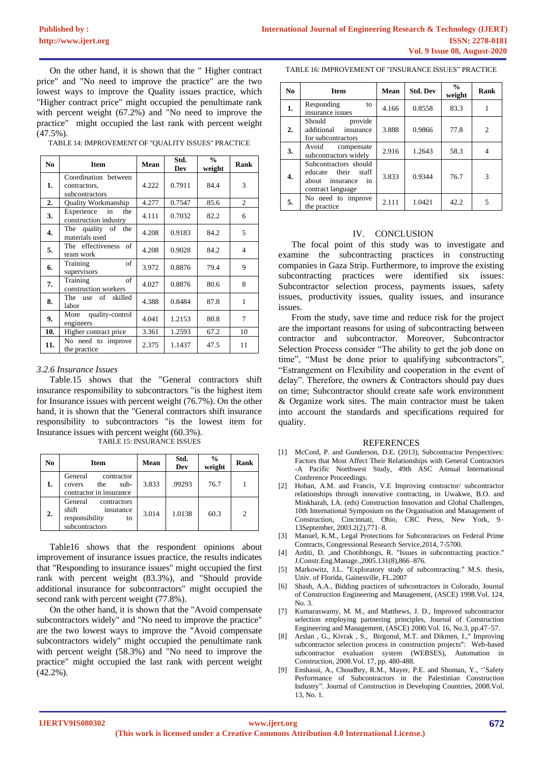On the other hand, it is shown that the " Higher contract price" and "No need to improve the practice" are the two lowest ways to improve the Quality issues practice, which "Higher contract price" might occupied the penultimate rank with percent weight (67.2%) and "No need to improve the practice" might occupied the last rank with percent weight (47.5%).

TABLE 14: IMPROVEMENT OF "QUALITY ISSUES" PRACTICE

| No. | <b>Item</b>                                            | Mean  | Std.<br>Dev | $\frac{0}{0}$<br>weight | Rank           |
|-----|--------------------------------------------------------|-------|-------------|-------------------------|----------------|
| 1.  | Coordination between<br>contractors,<br>subcontractors | 4.222 | 0.7911      | 84.4                    | 3              |
| 2.  | Quality Workmanship                                    | 4.277 | 0.7547      | 85.6                    | 2              |
| 3.  | Experience in<br>the<br>construction industry          | 4.111 | 0.7032      | 82.2                    | 6              |
| 4.  | The quality of the<br>materials used                   | 4.208 | 0.9183      | 84.2                    | 5              |
| 5.  | The effectiveness of<br>team work                      | 4.208 | 0.9028      | 84.2                    | $\overline{4}$ |
| 6.  | Training<br>of<br>supervisors                          | 3.972 | 0.8876      | 79.4                    | 9              |
| 7.  | of<br>Training<br>construction workers                 | 4.027 | 0.8876      | 80.6                    | 8              |
| 8.  | The use of<br>skilled<br>labor                         | 4.388 | 0.8484      | 87.8                    | 1              |
| 9.  | quality-control<br>More<br>engineers                   | 4.041 | 1.2153      | 80.8                    | 7              |
| 10. | Higher contract price                                  | 3.361 | 1.2593      | 67.2                    | 10             |
| 11. | No need to improve<br>the practice                     | 2.375 | 1.1437      | 47.5                    | 11             |

## *3.2.6 Insurance Issues*

Table.15 shows that the "General contractors shift insurance responsibility to subcontractors "is the highest item for Insurance issues with percent weight (76.7%). On the other hand, it is shown that the "General contractors shift insurance responsibility to subcontractors "is the lowest item for Insurance issues with percent weight (60.3%). TABLE 15: INSURANCE ISSUES

| No | <b>Item</b>                                                                            | Mean  | Std.<br>Dev | $\frac{0}{0}$<br>weight | Rank |
|----|----------------------------------------------------------------------------------------|-------|-------------|-------------------------|------|
| 1. | General<br>contractor<br>$sub-$<br>the<br>covers<br>contractor in insurance            | 3.833 | .99293      | 76.7                    |      |
| 2. | General<br>contractors<br>shift<br>insurance<br>responsibility<br>to<br>subcontractors | 3.014 | 1.0138      | 60.3                    | 2    |

Table16 shows that the respondent opinions about improvement of insurance issues practice, the results indicates that "Responding to insurance issues" might occupied the first rank with percent weight (83.3%), and "Should provide additional insurance for subcontractors" might occupied the second rank with percent weight (77.8%).

On the other hand, it is shown that the "Avoid compensate subcontractors widely" and "No need to improve the practice" are the two lowest ways to improve the "Avoid compensate subcontractors widely" might occupied the penultimate rank with percent weight (58.3%) and "No need to improve the practice" might occupied the last rank with percent weight (42.2%).

TABLE 16: IMPROVEMENT OF "INSURANCE ISSUES" PRACTICE

| N <sub>0</sub>   | <b>Item</b>                                                                                         | Mean  | <b>Std. Dev</b> | $\%$<br>weight | Rank           |
|------------------|-----------------------------------------------------------------------------------------------------|-------|-----------------|----------------|----------------|
| $\mathbf{1}$ .   | Responding<br>to<br>insurance issues                                                                | 4.166 | 0.8558          | 83.3           |                |
| $\overline{2}$ . | provide<br>Should<br>additional<br>insurance<br>for subcontractors                                  | 3.888 | 0.9866          | 77.8           | $\overline{c}$ |
| 3.               | Avoid<br>compensate<br>subcontractors widely                                                        | 2.916 | 1.2643          | 58.3           | 4              |
| 4.               | Subcontractors should<br>their<br>staff<br>educate<br>insurance<br>about<br>in<br>contract language | 3.833 | 0.9344          | 76.7           | 3              |
| 5.               | No need to improve<br>the practice                                                                  | 2.111 | 1.0421          | 42.2           | 5              |

#### IV. CONCLUSION

The focal point of this study was to investigate and examine the subcontracting practices in constructing companies in Gaza Strip. Furthermore, to improve the existing subcontracting practices were identified six issues: Subcontractor selection process, payments issues, safety issues, productivity issues, quality issues, and insurance issues.

From the study, save time and reduce risk for the project are the important reasons for using of subcontracting between contractor and subcontractor. Moreover, Subcontractor Selection Process consider "The ability to get the job done on time", "Must be done prior to qualifying subcontractors", "Estrangement on Flexibility and cooperation in the event of delay". Therefore, the owners & Contractors should pay dues on time; Subcontractor should create safe work environment & Organize work sites. The main contractor must be taken into account the standards and specifications required for quality.

#### REFERENCES

- [1] McCord, P. and Gunderson, D.E. (2013), Subcontractor Perspectives: Factors that Most Affect Their Relationships with General Contractors -A Pacific Northwest Study, 49th ASC Annual International Conference Proceedings.
- [2] Hoban, A.M. and Francis, V.E Improving contractor/ subcontractor relationships through innovative contracting, in Uwakwe, B.O. and Minkharah, I.A. (eds) Construction Innovation and Global Challenges, 10th International Symposium on the Organisation and Management of Construction, Cincinnati, Ohio, CRC Press, New York, 9– 13September, 2003.2(2),771–8.
- [3] Manuel, K.M., Legal Protections for Subcontractors on Federal Prime Contracts, Congressional Research Service,2014, 7-5700.
- [4] Arditi, D. ,and Chotibhongs, R. "Issues in subcontracting practice." J.Constr.Eng.Manage.,2005.131(8),866–876.
- [5] Markowitz, J.L. "Exploratory study of subcontracting." M.S. thesis, Univ. of Florida, Gainesville, FL.2007
- [6] Shash, A.A., Bidding practices of subcontractors in Colorado, Journal of Construction Engineering and Management, (ASCE) 1998.Vol. 124, No. 3.
- [7] Kumaraswamy, M. M., and Matthews, J. D., Improved subcontractor selection employing partnering principles, Journal of Construction Engineering and Management, (ASCE) 2000.Vol. 16, No.3, pp.47–57.
- [8] Arslan , G., Kivrak , S., Birgonul, M.T. and Dikmen, I.," Improving subcontractor selection process in construction projects": Web-based subcontractor evaluation system (WEBSES), Automation in Construction, 2008.Vol. 17, pp. 480-488.
- Enshassi, A., Choudhry, R.M., Mayer, P.E. and Shoman, Y., "Safety Performance of Subcontractors in the Palestinian Construction Industry". Journal of Construction in Developing Countries, 2008.Vol. 13, No. 1.